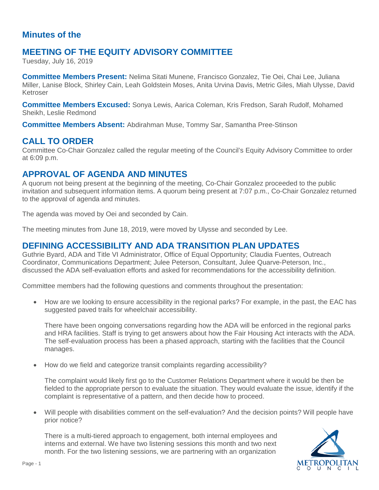### **Minutes of the**

# **MEETING OF THE EQUITY ADVISORY COMMITTEE**

Tuesday, July 16, 2019

**Committee Members Present:** Nelima Sitati Munene, Francisco Gonzalez, Tie Oei, Chai Lee, Juliana Miller, Lanise Block, Shirley Cain, Leah Goldstein Moses, Anita Urvina Davis, Metric Giles, Miah Ulysse, David Ketroser

**Committee Members Excused:** Sonya Lewis, Aarica Coleman, Kris Fredson, Sarah Rudolf, Mohamed Sheikh, Leslie Redmond

**Committee Members Absent:** Abdirahman Muse, Tommy Sar, Samantha Pree-Stinson

### **CALL TO ORDER**

Committee Co-Chair Gonzalez called the regular meeting of the Council's Equity Advisory Committee to order at 6:09 p.m.

### **APPROVAL OF AGENDA AND MINUTES**

A quorum not being present at the beginning of the meeting, Co-Chair Gonzalez proceeded to the public invitation and subsequent information items. A quorum being present at 7:07 p.m., Co-Chair Gonzalez returned to the approval of agenda and minutes.

The agenda was moved by Oei and seconded by Cain.

The meeting minutes from June 18, 2019, were moved by Ulysse and seconded by Lee.

#### **DEFINING ACCESSIBILITY AND ADA TRANSITION PLAN UPDATES**

Guthrie Byard, ADA and Title VI Administrator, Office of Equal Opportunity; Claudia Fuentes, Outreach Coordinator, Communications Department; Julee Peterson, Consultant, Julee Quarve-Peterson, Inc., discussed the ADA self-evaluation efforts and asked for recommendations for the accessibility definition.

Committee members had the following questions and comments throughout the presentation:

• How are we looking to ensure accessibility in the regional parks? For example, in the past, the EAC has suggested paved trails for wheelchair accessibility.

There have been ongoing conversations regarding how the ADA will be enforced in the regional parks and HRA facilities. Staff is trying to get answers about how the Fair Housing Act interacts with the ADA. The self-evaluation process has been a phased approach, starting with the facilities that the Council manages.

• How do we field and categorize transit complaints regarding accessibility?

The complaint would likely first go to the Customer Relations Department where it would be then be fielded to the appropriate person to evaluate the situation. They would evaluate the issue, identify if the complaint is representative of a pattern, and then decide how to proceed.

• Will people with disabilities comment on the self-evaluation? And the decision points? Will people have prior notice?

There is a multi-tiered approach to engagement, both internal employees and interns and external. We have two listening sessions this month and two next month. For the two listening sessions, we are partnering with an organization

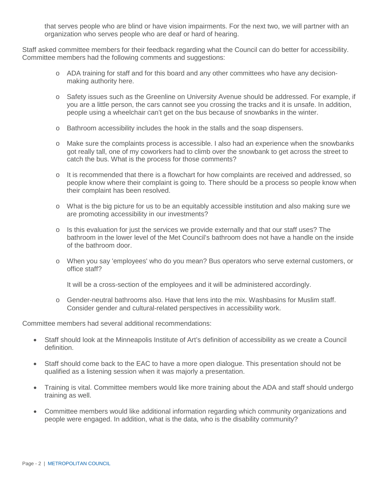that serves people who are blind or have vision impairments. For the next two, we will partner with an organization who serves people who are deaf or hard of hearing.

Staff asked committee members for their feedback regarding what the Council can do better for accessibility. Committee members had the following comments and suggestions:

- o ADA training for staff and for this board and any other committees who have any decisionmaking authority here.
- o Safety issues such as the Greenline on University Avenue should be addressed. For example, if you are a little person, the cars cannot see you crossing the tracks and it is unsafe. In addition, people using a wheelchair can't get on the bus because of snowbanks in the winter.
- o Bathroom accessibility includes the hook in the stalls and the soap dispensers.
- o Make sure the complaints process is accessible. I also had an experience when the snowbanks got really tall, one of my coworkers had to climb over the snowbank to get across the street to catch the bus. What is the process for those comments?
- o It is recommended that there is a flowchart for how complaints are received and addressed, so people know where their complaint is going to. There should be a process so people know when their complaint has been resolved.
- o What is the big picture for us to be an equitably accessible institution and also making sure we are promoting accessibility in our investments?
- $\circ$  Is this evaluation for just the services we provide externally and that our staff uses? The bathroom in the lower level of the Met Council's bathroom does not have a handle on the inside of the bathroom door.
- o When you say 'employees' who do you mean? Bus operators who serve external customers, or office staff?

It will be a cross-section of the employees and it will be administered accordingly.

o Gender-neutral bathrooms also. Have that lens into the mix. Washbasins for Muslim staff. Consider gender and cultural-related perspectives in accessibility work.

Committee members had several additional recommendations:

- Staff should look at the Minneapolis Institute of Art's definition of accessibility as we create a Council definition.
- Staff should come back to the EAC to have a more open dialogue. This presentation should not be qualified as a listening session when it was majorly a presentation.
- Training is vital. Committee members would like more training about the ADA and staff should undergo training as well.
- Committee members would like additional information regarding which community organizations and people were engaged. In addition, what is the data, who is the disability community?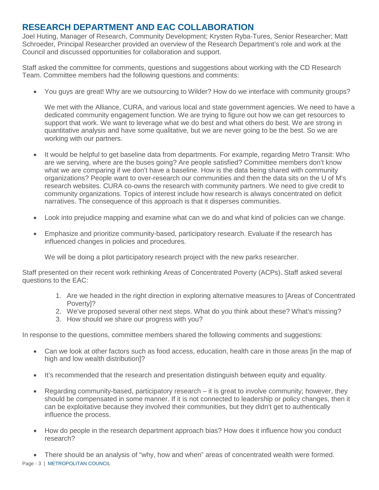# **RESEARCH DEPARTMENT AND EAC COLLABORATION**

Joel Huting, Manager of Research, Community Development; Krysten Ryba-Tures, Senior Researcher; Matt Schroeder, Principal Researcher provided an overview of the Research Department's role and work at the Council and discussed opportunities for collaboration and support.

Staff asked the committee for comments, questions and suggestions about working with the CD Research Team. Committee members had the following questions and comments:

• You guys are great! Why are we outsourcing to Wilder? How do we interface with community groups?

We met with the Alliance, CURA, and various local and state government agencies. We need to have a dedicated community engagement function. We are trying to figure out how we can get resources to support that work. We want to leverage what we do best and what others do best. We are strong in quantitative analysis and have some qualitative, but we are never going to be the best. So we are working with our partners.

- It would be helpful to get baseline data from departments. For example, regarding Metro Transit: Who are we serving, where are the buses going? Are people satisfied? Committee members don't know what we are comparing if we don't have a baseline. How is the data being shared with community organizations? People want to over-research our communities and then the data sits on the U of M's research websites. CURA co-owns the research with community partners. We need to give credit to community organizations. Topics of interest include how research is always concentrated on deficit narratives. The consequence of this approach is that it disperses communities.
- Look into prejudice mapping and examine what can we do and what kind of policies can we change.
- Emphasize and prioritize community-based, participatory research. Evaluate if the research has influenced changes in policies and procedures.

We will be doing a pilot participatory research project with the new parks researcher.

Staff presented on their recent work rethinking Areas of Concentrated Poverty (ACPs). Staff asked several questions to the EAC:

- 1. Are we headed in the right direction in exploring alternative measures to [Areas of Concentrated Poverty]?
- 2. We've proposed several other next steps. What do you think about these? What's missing?
- 3. How should we share our progress with you?

In response to the questions, committee members shared the following comments and suggestions:

- Can we look at other factors such as food access, education, health care in those areas [in the map of high and low wealth distribution]?
- It's recommended that the research and presentation distinguish between equity and equality.
- Regarding community-based, participatory research it is great to involve community; however, they should be compensated in some manner. If it is not connected to leadership or policy changes, then it can be exploitative because they involved their communities, but they didn't get to authentically influence the process.
- How do people in the research department approach bias? How does it influence how you conduct research?

Page - 3 | METROPOLITAN COUNCIL • There should be an analysis of "why, how and when" areas of concentrated wealth were formed.